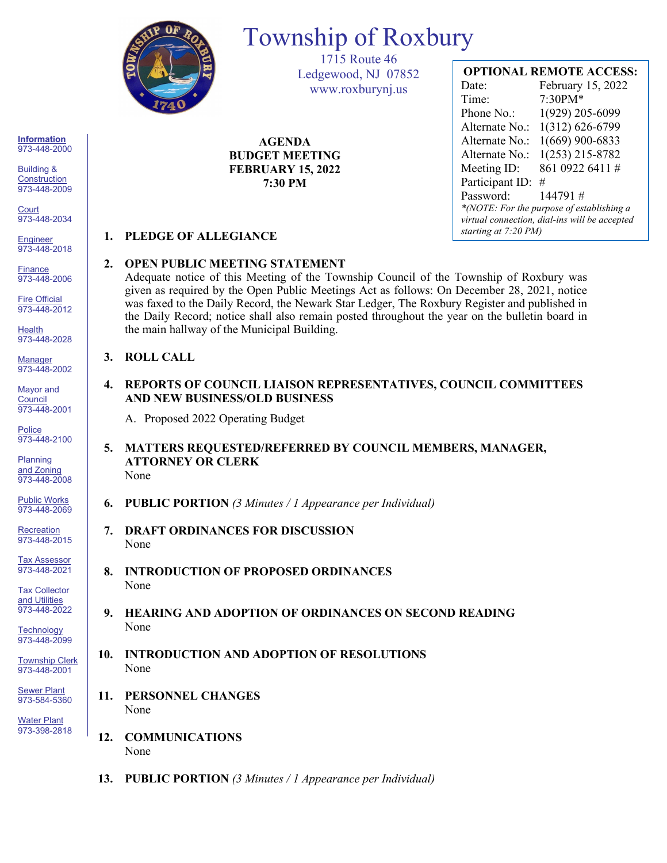

# Township of Roxbury

1715 Route 46 Ledgewood, NJ 07852 www.roxburynj.us

**AGENDA BUDGET MEETING FEBRUARY 15, 2022 7:30 PM**

## **OPTIONAL REMOTE ACCESS:**

Date: February 15, 2022 Time: 7:30PM\* Phone No.: 1(929) 205-6099 Alternate No.: 1(312) 626-6799 Alternate No.: 1(669) 900-6833 Alternate No.: 1(253) 215-8782 Meeting ID: 861 0922 6411 # Participant ID: # Password: 144791 # *\*(NOTE: For the purpose of establishing a virtual connection, dial-ins will be accepted starting at 7:20 PM)*

## **1. PLEDGE OF ALLEGIANCE**

### **2. OPEN PUBLIC MEETING STATEMENT**

Adequate notice of this Meeting of the Township Council of the Township of Roxbury was given as required by the Open Public Meetings Act as follows: On December 28, 2021, notice was faxed to the Daily Record, the Newark Star Ledger, The Roxbury Register and published in the Daily Record; notice shall also remain posted throughout the year on the bulletin board in the main hallway of the Municipal Building.

#### **3. ROLL CALL**

**4. REPORTS OF COUNCIL LIAISON REPRESENTATIVES, COUNCIL COMMITTEES AND NEW BUSINESS/OLD BUSINESS**

A. Proposed 2022 Operating Budget

- **5. MATTERS REQUESTED/REFERRED BY COUNCIL MEMBERS, MANAGER, ATTORNEY OR CLERK** None
- **6. PUBLIC PORTION** *(3 Minutes / 1 Appearance per Individual)*
- **7. DRAFT ORDINANCES FOR DISCUSSION** None
- **8. INTRODUCTION OF PROPOSED ORDINANCES** None
- **9. HEARING AND ADOPTION OF ORDINANCES ON SECOND READING** None
- **10. INTRODUCTION AND ADOPTION OF RESOLUTIONS** None
- **11. PERSONNEL CHANGES** None
- **12. COMMUNICATIONS** None
- **13. PUBLIC PORTION** *(3 Minutes / 1 Appearance per Individual)*

**Information** 973-448-2000

Building & **Construction** 973-448-2009

**Court** 973-448-2034

**Engineer** 973-448-2018

**Finance** 973-448-2006

Fire Official 973-448-2012

**Health** 973-448-2028

Manager 973-448-2002

Mayor and **Council** 973-448-2001

**Police** 973-448-2100

Planning and Zoning 973-448-2008

Public Works 973-448-2069

**Recreation** 973-448-2015

Tax Assessor 973-448-2021

Tax Collector and Utilities 973-448-2022

**Technology** 973-448-2099

Township Clerk 973-448-2001

**Sewer Plant** 973-584-5360

Water Plant 973-398-2818